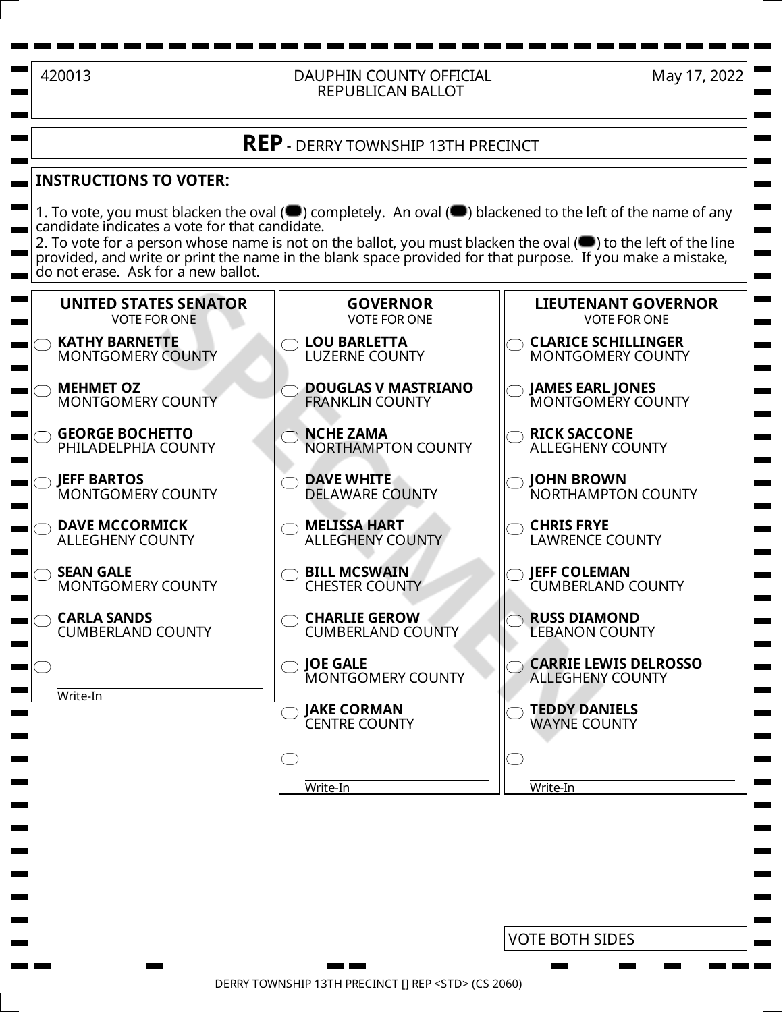## 420013 DAUPHIN COUNTY OFFICIAL REPUBLICAN BALLOT

May 17, 2022

## **REP**- DERRY TOWNSHIP 13TH PRECINCT

## **INSTRUCTIONS TO VOTER:**

1. To vote, you must blacken the oval ( $\bullet$ ) completely. An oval ( $\bullet$ ) blackened to the left of the name of any candidate indicates a vote for that candidate.

2. To vote for a person whose name is not on the ballot, you must blacken the oval  $($ **)** to the left of the line provided, and write or print the name in the blank space provided for that purpose. If you make a mistake, do not erase. Ask for a new ballot.